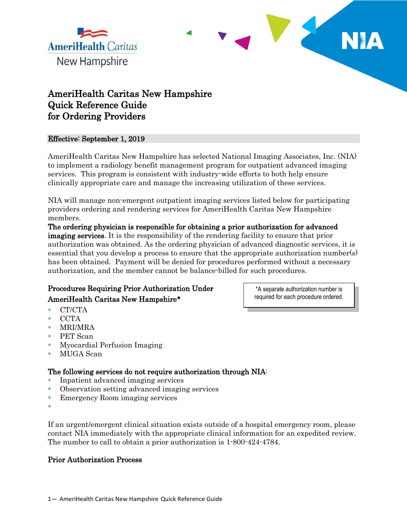



j

# AmeriHealth Caritas New Hampshire Quick Reference Guide for Ordering Providers

#### Effective: September 1, 2019

AmeriHealth Caritas New Hampshire has selected National Imaging Associates, Inc. (NIA) to implement a radiology benefit management program for outpatient advanced imaging services. This program is consistent with industry-wide efforts to both help ensure clinically appropriate care and manage the increasing utilization of these services.

NIA will manage non-emergent outpatient imaging services listed below for participating providers ordering and rendering services for AmeriHealth Caritas New Hampshire members.

The ordering physician is responsible for obtaining a prior authorization for advanced imaging services. It is the responsibility of the rendering facility to ensure that prior authorization was obtained. As the ordering physician of advanced diagnostic services, it is essential that you develop a process to ensure that the appropriate authorization number(s) has been obtained. Payment will be denied for procedures performed without a necessary authorization, and the member cannot be balance-billed for such procedures.

# Procedures Requiring Prior Authorization Under AmeriHealth Caritas New Hampshire\*

\*A separate authorization number is required for each procedure ordered.

- **CT/CTA**
- $\blacksquare$  CCTA
- MRI/MRA
- PET Scan
- Myocardial Perfusion Imaging
- MUGA Scan

## The following services do not require authorization through NIA:

- Inpatient advanced imaging services
- Observation setting advanced imaging services
- **EXECUTE:** Emergency Room imaging services
- F

If an urgent/emergent clinical situation exists outside of a hospital emergency room, please contact NIA immediately with the appropriate clinical information for an expedited review. The number to call to obtain a prior authorization is 1-800-424-4784.

#### Prior Authorization Process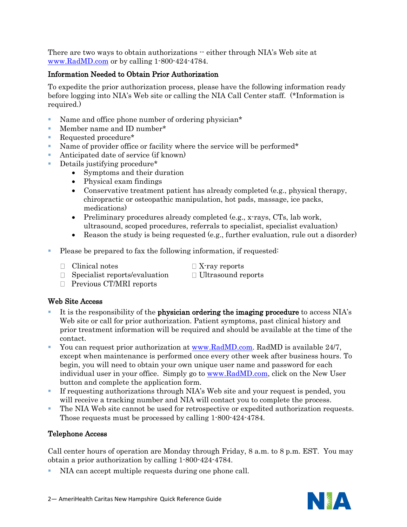There are two ways to obtain authorizations  $-$  either through NIA's Web site at [www.RadMD.com](http://www.radmd.com/) or by calling 1-800-424-4784.

### Information Needed to Obtain Prior Authorization

To expedite the prior authorization process, please have the following information ready before logging into NIA's Web site or calling the NIA Call Center staff. (\*Information is required.)

- Name and office phone number of ordering physician\*
- Member name and ID number\*
- Requested procedure<sup>\*</sup>
- Name of provider office or facility where the service will be performed\*
- Anticipated date of service (if known)
- Details justifying procedure\*
	- Symptoms and their duration
		- Physical exam findings
		- Conservative treatment patient has already completed (e.g., physical therapy, chiropractic or osteopathic manipulation, hot pads, massage, ice packs, medications)
		- Preliminary procedures already completed (e.g., x-rays, CTs, lab work, ultrasound, scoped procedures, referrals to specialist, specialist evaluation)
		- Reason the study is being requested (e.g., further evaluation, rule out a disorder)
- Please be prepared to fax the following information, if requested:
	- $\Box$  Clinical notes  $\Box$  X-ray reports
		-
	- $\Box$  Specialist reports/evaluation  $\Box$  Ultrasound reports
- - $\Box$  Previous CT/MRI reports

#### Web Site Access

- It is the responsibility of the physician ordering the imaging procedure to access NIA's Web site or call for prior authorization. Patient symptoms, past clinical history and prior treatment information will be required and should be available at the time of the contact.
- You can request prior authorization at [www.RadMD.com.](http://www.radmd.com/) RadMD is available 24/7, except when maintenance is performed once every other week after business hours. To begin, you will need to obtain your own unique user name and password for each individual user in your office. Simply go to [www.RadMD.com,](http://www.radmd.com/) click on the New User button and complete the application form.
- If requesting authorizations through NIA's Web site and your request is pended, you will receive a tracking number and NIA will contact you to complete the process.
- The NIA Web site cannot be used for retrospective or expedited authorization requests. Those requests must be processed by calling 1-800-424-4784.

#### Telephone Access

Call center hours of operation are Monday through Friday, 8 a.m. to 8 p.m. EST. You may obtain a prior authorization by calling 1-800-424-4784.

NIA can accept multiple requests during one phone call.